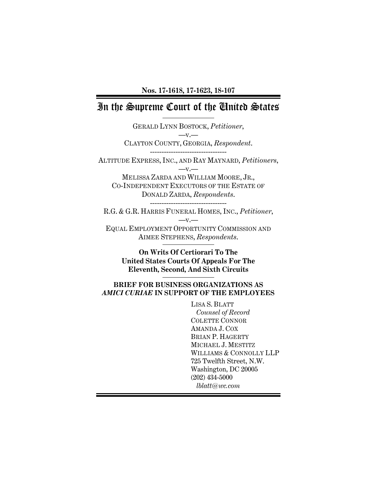# In the Supreme Court of the United States

GERALD LYNN BOSTOCK, *Petitioner*,  $-v$ . CLAYTON COUNTY, GEORGIA, *Respondent*. ---------------------------------

ALTITUDE EXPRESS, INC., AND RAY MAYNARD, *Petitioners*,  $-v$ . MELISSA ZARDA AND WILLIAM MOORE, JR., CO-INDEPENDENT EXECUTORS OF THE ESTATE OF

DONALD ZARDA, *Respondents*.

---------------------------------

R.G. & G.R. HARRIS FUNERAL HOMES, INC., *Petitioner*,  $-v.$ EQUAL EMPLOYMENT OPPORTUNITY COMMISSION AND

AIMEE STEPHENS, *Respondents*.

**On Writs Of Certiorari To The United States Courts Of Appeals For The Eleventh, Second, And Sixth Circuits** 

### **BRIEF FOR BUSINESS ORGANIZATIONS AS**  *AMICI CURIAE* **IN SUPPORT OF THE EMPLOYEES**

LISA S. BLATT *Counsel of Record*  COLETTE CONNOR AMANDA J. COX BRIAN P. HAGERTY MICHAEL J. MESTITZ WILLIAMS & CONNOLLY LLP 725 Twelfth Street, N.W. Washington, DC 20005 (202) 434-5000 *lblatt@wc.com*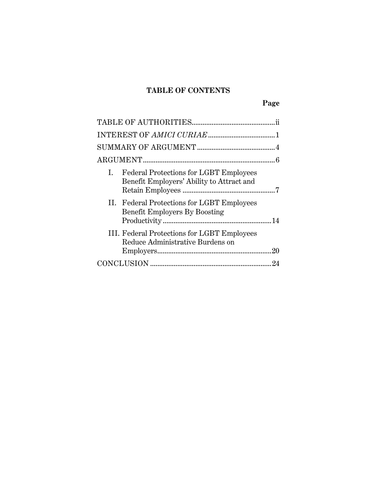## **TABLE OF CONTENTS**

| <b>Federal Protections for LGBT Employees</b><br>$\mathbf{L}$<br>Benefit Employers' Ability to Attract and |    |
|------------------------------------------------------------------------------------------------------------|----|
| II. Federal Protections for LGBT Employees<br><b>Benefit Employers By Boosting</b>                         |    |
| III. Federal Protections for LGBT Employees<br>Reduce Administrative Burdens on                            |    |
|                                                                                                            | 94 |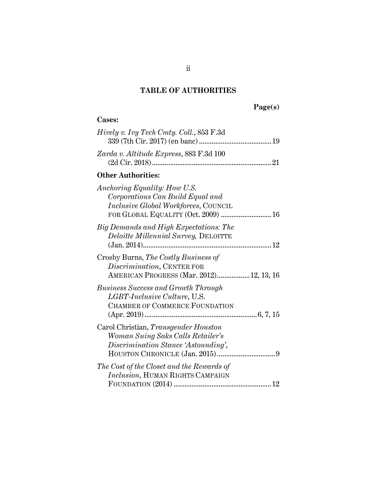## **TABLE OF AUTHORITIES**

# **Page(s)**

## **Cases:**

| <i>Hively v. Ivy Tech Cmty. Coll., 853 F.3d</i>                                                                                                 |
|-------------------------------------------------------------------------------------------------------------------------------------------------|
| Zarda v. Altitude Express, 883 F.3d 100                                                                                                         |
| <b>Other Authorities:</b>                                                                                                                       |
| Anchoring Equality: How U.S.<br>Corporations Can Build Equal and<br>Inclusive Global Workforces, COUNCIL<br>FOR GLOBAL EQUALITY (Oct. 2009)  16 |
| Big Demands and High Expectations: The<br>Deloitte Millennial Survey, DELOITTE                                                                  |
| Crosby Burns, The Costly Business of<br>Discrimination, CENTER FOR<br>AMERICAN PROGRESS (Mar. 2012) 12, 13, 16                                  |
| <b>Business Success and Growth Through</b><br>LGBT-Inclusive Culture, U.S.<br>CHAMBER OF COMMERCE FOUNDATION                                    |
| Carol Christian, Transgender Houston<br>Woman Suing Saks Calls Retailer's<br>Discrimination Stance 'Astounding',                                |
| The Cost of the Closet and the Rewards of<br>Inclusion, HUMAN RIGHTS CAMPAIGN                                                                   |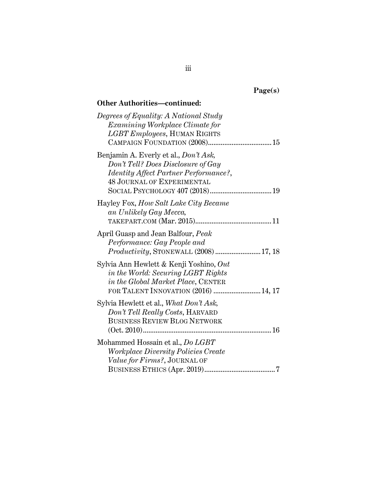| ret<br>÷ |
|----------|
|----------|

| Degrees of Equality: A National Study<br>Examining Workplace Climate for<br>LGBT Employees, HUMAN RIGHTS                                                          |
|-------------------------------------------------------------------------------------------------------------------------------------------------------------------|
| Benjamin A. Everly et al., Don't Ask,<br>Don't Tell? Does Disclosure of Gay<br><i>Identity Affect Partner Performance?</i> ,<br><b>48 JOURNAL OF EXPERIMENTAL</b> |
| Hayley Fox, How Salt Lake City Became<br>an Unlikely Gay Mecca,                                                                                                   |
| April Guasp and Jean Balfour, Peak<br>Performance: Gay People and<br><i>Productivity</i> , STONEWALL (2008)17, 18                                                 |
| Sylvia Ann Hewlett & Kenji Yoshino, Out<br>in the World: Securing LGBT Rights<br>in the Global Market Place, CENTER<br>FOR TALENT INNOVATION (2016)  14, 17       |
| Sylvia Hewlett et al., What Don't Ask,<br>Don't Tell Really Costs, HARVARD<br><b>BUSINESS REVIEW BLOG NETWORK</b>                                                 |
| Mohammed Hossain et al., Do LGBT<br><i>Workplace Diversity Policies Create</i><br>Value for Firms?, JOURNAL OF                                                    |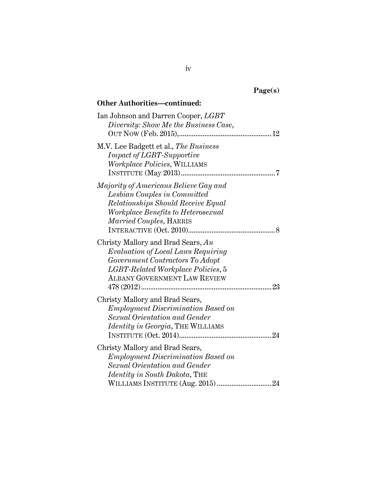| ١í<br>o c<br><br>. .<br>− |
|---------------------------|
|---------------------------|

| Ian Johnson and Darren Cooper, LGBT<br>Diversity: Show Me the Business Case,                                                                                                               |
|--------------------------------------------------------------------------------------------------------------------------------------------------------------------------------------------|
| M.V. Lee Badgett et al., The Business<br><b>Impact of LGBT-Supportive</b><br>Workplace Policies, WILLIAMS                                                                                  |
| Majority of Americans Believe Gay and<br>Lesbian Couples in Committed<br>Relationships Should Receive Equal<br><i>Workplace Benefits to Heterosexual</i><br><i>Married Couples, HARRIS</i> |
| Christy Mallory and Brad Sears, An<br>Evaluation of Local Laws Requiring<br>Government Contractors To Adopt<br>LGBT-Related Workplace Policies, 5<br><b>ALBANY GOVERNMENT LAW REVIEW</b>   |
| Christy Mallory and Brad Sears,<br><b>Employment Discrimination Based on</b><br>Sexual Orientation and Gender<br><i>Identity in Georgia</i> , THE WILLIAMS                                 |
| Christy Mallory and Brad Sears,<br><b>Employment Discrimination Based on</b><br>Sexual Orientation and Gender<br><i>Identity in South Dakota</i> , THE                                     |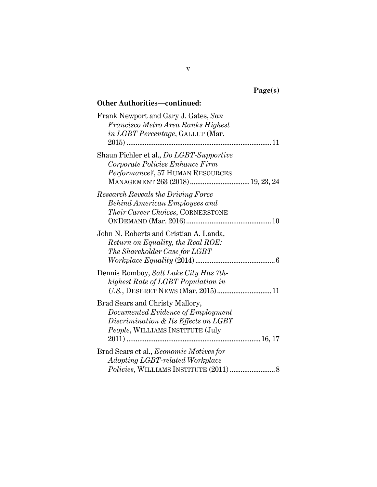| 1.Q7<br>ρ١<br>e. |
|------------------|
|------------------|

| Frank Newport and Gary J. Gates, San<br>Francisco Metro Area Ranks Highest |
|----------------------------------------------------------------------------|
| in LGBT Percentage, GALLUP (Mar.                                           |
| $2015)$                                                                    |
|                                                                            |
| Shaun Pichler et al., Do LGBT-Supportive                                   |
| Corporate Policies Enhance Firm                                            |
| Performance?, 57 HUMAN RESOURCES                                           |
| MANAGEMENT 263 (2018) 19, 23, 24                                           |
| <b>Research Reveals the Driving Force</b>                                  |
| <b>Behind American Employees and</b>                                       |
| Their Career Choices, CORNERSTONE                                          |
|                                                                            |
| John N. Roberts and Cristian A. Landa,                                     |
| Return on Equality, the Real ROE:                                          |
| The Shareholder Case for LGBT                                              |
|                                                                            |
|                                                                            |
| Dennis Romboy, Salt Lake City Has 7th-                                     |
| highest Rate of LGBT Population in                                         |
|                                                                            |
| Brad Sears and Christy Mallory,                                            |
| Documented Evidence of Employment                                          |
| Discrimination & Its Effects on LGBT                                       |
| People, WILLIAMS INSTITUTE (July                                           |
|                                                                            |
| Brad Sears et al., Economic Motives for                                    |
| Adopting LGBT-related Workplace                                            |
|                                                                            |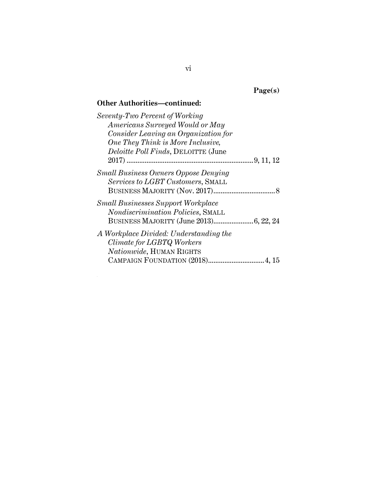**Page(s)** 

| Seventy-Two Percent of Working              |
|---------------------------------------------|
| Americans Surveyed Would or May             |
| Consider Leaving an Organization for        |
| One They Think is More Inclusive,           |
| <i>Deloitte Poll Finds</i> , DELOITTE (June |
|                                             |
| <b>Small Business Owners Oppose Denying</b> |
| Services to LGBT Customers, SMALL           |
|                                             |
| <b>Small Businesses Support Workplace</b>   |
| Nondiscrimination Policies, SMALL           |
|                                             |
| A Workplace Divided: Understanding the      |
| Climate for LGBTQ Workers                   |
| <i>Nationwide</i> , HUMAN RIGHTS            |
| CAMPAIGN FOUNDATION (2018) 4, 15            |
|                                             |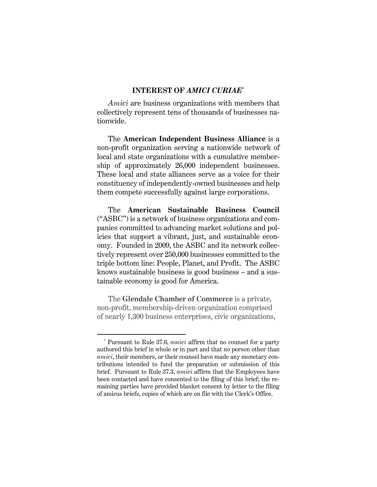### **INTEREST OF** *AMICI CURIAE*\*

*Amici* are business organizations with members that collectively represent tens of thousands of businesses nationwide.

The **American Independent Business Alliance** is a non-profit organization serving a nationwide network of local and state organizations with a cumulative membership of approximately 26,000 independent businesses. These local and state alliances serve as a voice for their constituency of independently-owned businesses and help them compete successfully against large corporations.

The **American Sustainable Business Council** ("ASBC") is a network of business organizations and companies committed to advancing market solutions and policies that support a vibrant, just, and sustainable economy. Founded in 2009, the ASBC and its network collectively represent over 250,000 businesses committed to the triple bottom line: People, Planet, and Profit. The ASBC knows sustainable business is good business – and a sustainable economy is good for America.

The **Glendale Chamber of Commerce** is a private, non-profit, membership-driven organization comprised of nearly 1,300 business enterprises, civic organizations,

 <sup>\*</sup> Pursuant to Rule 37.6, *amici* affirm that no counsel for a party authored this brief in whole or in part and that no person other than *amici*, their members, or their counsel have made any monetary contributions intended to fund the preparation or submission of this brief. Pursuant to Rule 37.3, *amici* affirm that the Employees have been contacted and have consented to the filing of this brief; the remaining parties have provided blanket consent by letter to the filing of amicus briefs, copies of which are on file with the Clerk's Office.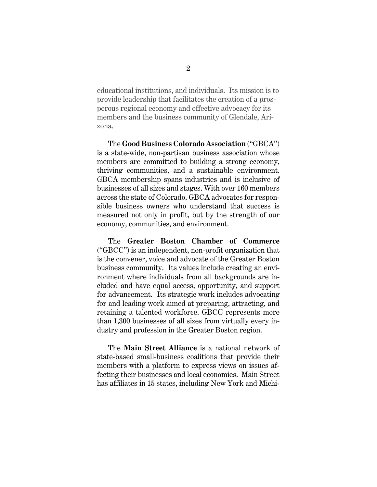educational institutions, and individuals. Its mission is to provide leadership that facilitates the creation of a prosperous regional economy and effective advocacy for its members and the business community of Glendale, Arizona.

The **Good Business Colorado Association** ("GBCA") is a state-wide, non-partisan business association whose members are committed to building a strong economy, thriving communities, and a sustainable environment. GBCA membership spans industries and is inclusive of businesses of all sizes and stages. With over 160 members across the state of Colorado, GBCA advocates for responsible business owners who understand that success is measured not only in profit, but by the strength of our economy, communities, and environment.

The **Greater Boston Chamber of Commerce** ("GBCC") is an independent, non-profit organization that is the convener, voice and advocate of the Greater Boston business community. Its values include creating an environment where individuals from all backgrounds are included and have equal access, opportunity, and support for advancement. Its strategic work includes advocating for and leading work aimed at preparing, attracting, and retaining a talented workforce. GBCC represents more than 1,300 businesses of all sizes from virtually every industry and profession in the Greater Boston region.

The **Main Street Alliance** is a national network of state-based small-business coalitions that provide their members with a platform to express views on issues affecting their businesses and local economies. Main Street has affiliates in 15 states, including New York and Michi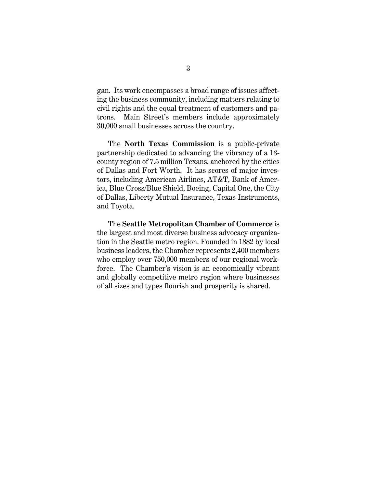gan. Its work encompasses a broad range of issues affecting the business community, including matters relating to civil rights and the equal treatment of customers and patrons. Main Street's members include approximately 30,000 small businesses across the country.

The **North Texas Commission** is a public-private partnership dedicated to advancing the vibrancy of a 13 county region of 7.5 million Texans, anchored by the cities of Dallas and Fort Worth. It has scores of major investors, including American Airlines, AT&T, Bank of America, Blue Cross/Blue Shield, Boeing, Capital One, the City of Dallas, Liberty Mutual Insurance, Texas Instruments, and Toyota.

The **Seattle Metropolitan Chamber of Commerce** is the largest and most diverse business advocacy organization in the Seattle metro region. Founded in 1882 by local business leaders, the Chamber represents 2,400 members who employ over 750,000 members of our regional workforce. The Chamber's vision is an economically vibrant and globally competitive metro region where businesses of all sizes and types flourish and prosperity is shared.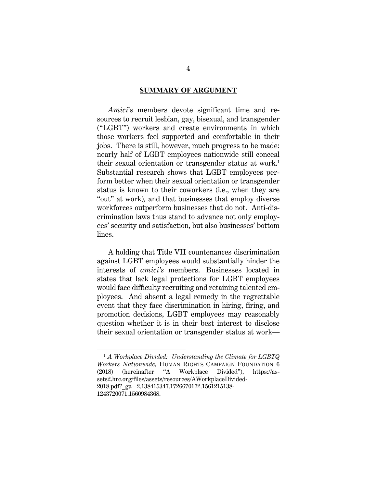#### **<u>SUMMARY OF ARGUMENT</u>**

*Amici*'s members devote significant time and resources to recruit lesbian, gay, bisexual, and transgender ("LGBT") workers and create environments in which those workers feel supported and comfortable in their jobs. There is still, however, much progress to be made: nearly half of LGBT employees nationwide still conceal their sexual orientation or transgender status at work.<sup>1</sup> Substantial research shows that LGBT employees perform better when their sexual orientation or transgender status is known to their coworkers (i.e., when they are "out" at work)*,* and that businesses that employ diverse workforces outperform businesses that do not. Anti-discrimination laws thus stand to advance not only employees' security and satisfaction, but also businesses' bottom lines.

A holding that Title VII countenances discrimination against LGBT employees would substantially hinder the interests of *amici's* members. Businesses located in states that lack legal protections for LGBT employees would face difficulty recruiting and retaining talented employees. And absent a legal remedy in the regrettable event that they face discrimination in hiring, firing, and promotion decisions, LGBT employees may reasonably question whether it is in their best interest to disclose their sexual orientation or transgender status at work—

 <sup>1</sup> *A Workplace Divided: Understanding the Climate for LGBTQ Workers Nationwide*, HUMAN RIGHTS CAMPAIGN FOUNDATION 6 (2018) (hereinafter "A Workplace Divided"), https://as-"A Workplace Divided"), https://assets2.hrc.org/files/assets/resources/AWorkplaceDivided-2018.pdf? ga=2.138415347.1726670172.1561215138-1243720071.1560984368.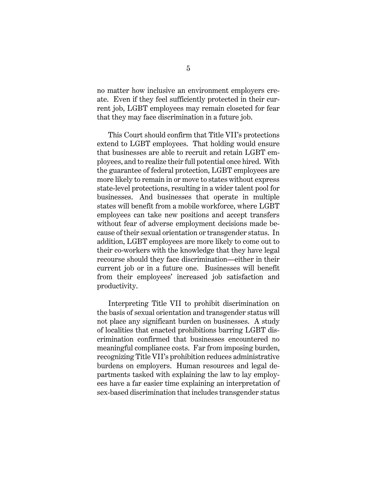no matter how inclusive an environment employers create. Even if they feel sufficiently protected in their current job, LGBT employees may remain closeted for fear that they may face discrimination in a future job.

This Court should confirm that Title VII's protections extend to LGBT employees. That holding would ensure that businesses are able to recruit and retain LGBT employees, and to realize their full potential once hired. With the guarantee of federal protection, LGBT employees are more likely to remain in or move to states without express state-level protections, resulting in a wider talent pool for businesses. And businesses that operate in multiple states will benefit from a mobile workforce, where LGBT employees can take new positions and accept transfers without fear of adverse employment decisions made because of their sexual orientation or transgender status. In addition, LGBT employees are more likely to come out to their co-workers with the knowledge that they have legal recourse should they face discrimination—either in their current job or in a future one. Businesses will benefit from their employees' increased job satisfaction and productivity.

Interpreting Title VII to prohibit discrimination on the basis of sexual orientation and transgender status will not place any significant burden on businesses. A study of localities that enacted prohibitions barring LGBT discrimination confirmed that businesses encountered no meaningful compliance costs. Far from imposing burden, recognizing Title VII's prohibition reduces administrative burdens on employers. Human resources and legal departments tasked with explaining the law to lay employees have a far easier time explaining an interpretation of sex-based discrimination that includes transgender status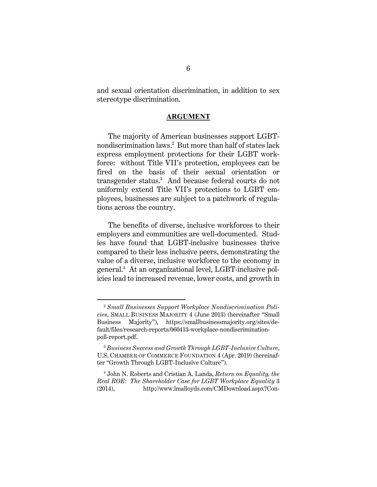and sexual orientation discrimination, in addition to sex stereotype discrimination.

### **ARGUMENT**

The majority of American businesses support LGBTnondiscrimination laws.2 But more than half of states lack express employment protections for their LGBT workforce: without Title VII's protection, employees can be fired on the basis of their sexual orientation or transgender status.3 And because federal courts do not uniformly extend Title VII's protections to LGBT employees, businesses are subject to a patchwork of regulations across the country.

The benefits of diverse, inclusive workforces to their employers and communities are well-documented. Studies have found that LGBT-inclusive businesses thrive compared to their less inclusive peers, demonstrating the value of a diverse, inclusive workforce to the economy in general.4 At an organizational level, LGBT-inclusive policies lead to increased revenue, lower costs, and growth in

 <sup>2</sup> *Small Businesses Support Workplace Nondiscrimination Policies*, SMALL BUSINESS MAJORITY 4 (June 2013) (hereinafter "Small Business Majority"), https://smallbusinessmajority.org/sites/default/files/research-reports/060413-workplace-nondiscriminationpoll-report.pdf.

<sup>3</sup> *Business Success and Growth Through LGBT-Inclusive Culture*, U.S. CHAMBER OF COMMERCE FOUNDATION 4 (Apr. 2019) (hereinafter "Growth Through LGBT-Inclusive Culture").

<sup>4</sup> John N. Roberts and Cristian A. Landa, *Return on Equality, the Real ROE: The Shareholder Case for LGBT Workplace Equality* 3 (2014), http://www.lmalloyds.com/CMDownload.aspx?Con-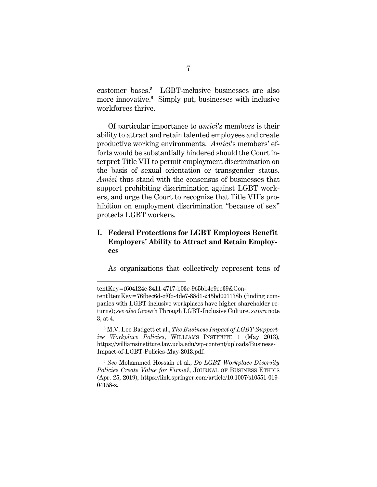customer bases.<sup>5</sup> LGBT-inclusive businesses are also more innovative.<sup>6</sup> Simply put, businesses with inclusive workforces thrive.

Of particular importance to *amici*'s members is their ability to attract and retain talented employees and create productive working environments. *Amici*'s members' efforts would be substantially hindered should the Court interpret Title VII to permit employment discrimination on the basis of sexual orientation or transgender status. *Amici* thus stand with the consensus of businesses that support prohibiting discrimination against LGBT workers, and urge the Court to recognize that Title VII's prohibition on employment discrimination "because of sex" protects LGBT workers.

## **I. Federal Protections for LGBT Employees Benefit Employers' Ability to Attract and Retain Employees**

As organizations that collectively represent tens of

 $\overline{a}$ 

tentKey=f604124c-3411-4717-b03e-965bb4e9ee39&ContentItemKey=76fbec6d-cf0b-4de7-88d1-245bd001138b (finding companies with LGBT-inclusive workplaces have higher shareholder returns); *see also* Growth Through LGBT-Inclusive Culture, *supra* note 3, at 4.

<sup>5</sup> M.V. Lee Badgett et al., *The Business Impact of LGBT-Supportive Workplace Policies*, WILLIAMS INSTITUTE 1 (May 2013), https://williamsinstitute.law.ucla.edu/wp-content/uploads/Business-Impact-of-LGBT-Policies-May-2013.pdf.

<sup>6</sup> *See* Mohammed Hossain et al., *Do LGBT Workplace Diversity Policies Create Value for Firms?*, JOURNAL OF BUSINESS ETHICS (Apr. 25, 2019), https://link.springer.com/article/10.1007/s10551-019- 04158-z.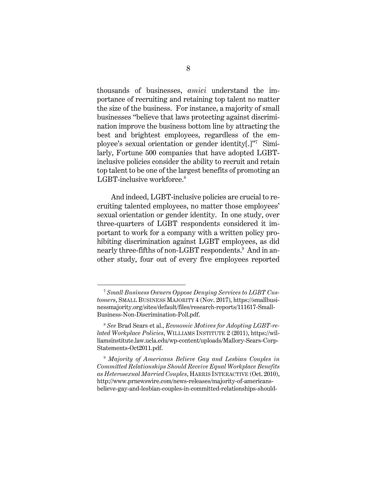thousands of businesses, *amici* understand the importance of recruiting and retaining top talent no matter the size of the business. For instance, a majority of small businesses "believe that laws protecting against discrimination improve the business bottom line by attracting the best and brightest employees, regardless of the employee's sexual orientation or gender identity[.]"7 Similarly, Fortune 500 companies that have adopted LGBTinclusive policies consider the ability to recruit and retain top talent to be one of the largest benefits of promoting an LGBT-inclusive workforce.<sup>8</sup>

And indeed, LGBT-inclusive policies are crucial to recruiting talented employees, no matter those employees' sexual orientation or gender identity. In one study, over three-quarters of LGBT respondents considered it important to work for a company with a written policy prohibiting discrimination against LGBT employees, as did nearly three-fifths of non-LGBT respondents.9 And in another study, four out of every five employees reported

 <sup>7</sup> *Small Business Owners Oppose Denying Services to LGBT Customers*, SMALL BUSINESS MAJORITY 4 (Nov. 2017), https://smallbusinessmajority.org/sites/default/files/research-reports/111617-Small-Business-Non-Discrimination-Poll.pdf.

<sup>8</sup> *See* Brad Sears et al., *Economic Motives for Adopting LGBT-related Workplace Policies*, WILLIAMS INSTITUTE 2 (2011), https://williamsinstitute.law.ucla.edu/wp-content/uploads/Mallory-Sears-Corp-Statements-Oct2011.pdf.

<sup>9</sup> *Majority of Americans Believe Gay and Lesbian Couples in Committed Relationships Should Receive Equal Workplace Benefits as Heterosexual Married Couples*, HARRIS INTERACTIVE (Oct. 2010), http://www.prnewswire.com/news-releases/majority-of-americansbelieve-gay-and-lesbian-couples-in-committed-relationships-should-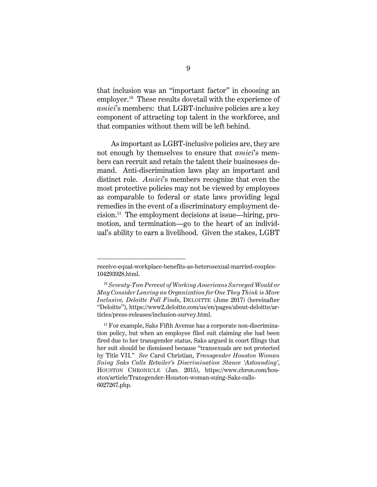that inclusion was an "important factor" in choosing an employer.<sup>10</sup> These results dovetail with the experience of *amici*'s members: that LGBT-inclusive policies are a key component of attracting top talent in the workforce, and that companies without them will be left behind.

As important as LGBT-inclusive policies are, they are not enough by themselves to ensure that *amici*'s members can recruit and retain the talent their businesses demand. Anti-discrimination laws play an important and distinct role. *Amici*'s members recognize that even the most protective policies may not be viewed by employees as comparable to federal or state laws providing legal remedies in the event of a discriminatory employment decision.11 The employment decisions at issue—hiring, promotion, and termination—go to the heart of an individual's ability to earn a livelihood. Given the stakes, LGBT

 $\overline{a}$ 

receive-equal-workplace-benefits-as-heterosexual-married-couples-104293928.html.

<sup>10</sup> *Seventy-Two Percent of Working Americans Surveyed Would or May Consider Leaving an Organization for One They Think is More Inclusive, Deloitte Poll Finds*, DELOITTE (June 2017) (hereinafter "Deloitte"), https://www2.deloitte.com/us/en/pages/about-deloitte/articles/press-releases/inclusion-survey.html.

<sup>&</sup>lt;sup>11</sup> For example, Saks Fifth Avenue has a corporate non-discrimination policy, but when an employee filed suit claiming she had been fired due to her transgender status, Saks argued in court filings that her suit should be dismissed because "transexuals are not protected by Title VII." *See* Carol Christian, *Transgender Houston Woman Suing Saks Calls Retailer's Discrimination Stance 'Astounding'*, HOUSTON CHRONICLE (Jan. 2015), https://www.chron.com/houston/article/Transgender-Houston-woman-suing-Saks-calls-6027267.php.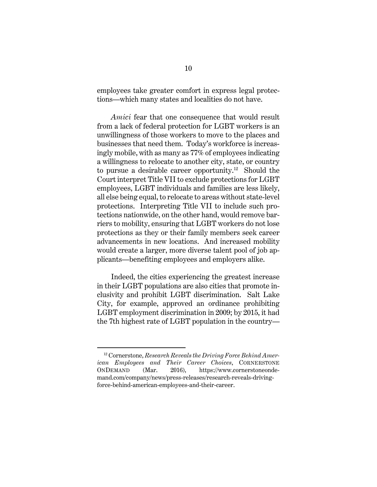employees take greater comfort in express legal protections—which many states and localities do not have.

*Amici* fear that one consequence that would result from a lack of federal protection for LGBT workers is an unwillingness of those workers to move to the places and businesses that need them. Today's workforce is increasingly mobile, with as many as 77% of employees indicating a willingness to relocate to another city, state, or country to pursue a desirable career opportunity.<sup>12</sup> Should the Court interpret Title VII to exclude protections for LGBT employees, LGBT individuals and families are less likely, all else being equal, to relocate to areas without state-level protections. Interpreting Title VII to include such protections nationwide, on the other hand, would remove barriers to mobility, ensuring that LGBT workers do not lose protections as they or their family members seek career advancements in new locations. And increased mobility would create a larger, more diverse talent pool of job applicants—benefiting employees and employers alike.

Indeed, the cities experiencing the greatest increase in their LGBT populations are also cities that promote inclusivity and prohibit LGBT discrimination. Salt Lake City, for example, approved an ordinance prohibiting LGBT employment discrimination in 2009; by 2015, it had the 7th highest rate of LGBT population in the country—

 <sup>12</sup> Cornerstone, *Research Reveals the Driving Force Behind American Employees and Their Career Choices*, CORNERSTONE ONDEMAND (Mar. 2016), https://www.cornerstoneondemand.com/company/news/press-releases/research-reveals-drivingforce-behind-american-employees-and-their-career.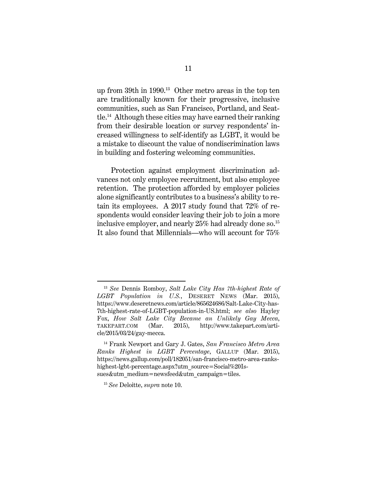up from 39th in 1990.13 Other metro areas in the top ten are traditionally known for their progressive, inclusive communities, such as San Francisco, Portland, and Seattle.14 Although these cities may have earned their ranking from their desirable location or survey respondents' increased willingness to self-identify as LGBT, it would be a mistake to discount the value of nondiscrimination laws in building and fostering welcoming communities.

Protection against employment discrimination advances not only employee recruitment, but also employee retention. The protection afforded by employer policies alone significantly contributes to a business's ability to retain its employees. A 2017 study found that 72% of respondents would consider leaving their job to join a more inclusive employer, and nearly  $25\%$  had already done so.<sup>15</sup> It also found that Millennials—who will account for 75%

 <sup>13</sup> *See* Dennis Romboy, *Salt Lake City Has 7th-highest Rate of LGBT Population in U.S.*, DESERET NEWS (Mar. 2015), https://www.deseretnews.com/article/865624686/Salt-Lake-City-has-7th-highest-rate-of-LGBT-population-in-US.html; *see also* Hayley Fox, *How Salt Lake City Became an Unlikely Gay Mecca*, TAKEPART.COM (Mar. 2015), http://www.takepart.com/article/2015/03/24/gay-mecca.

<sup>14</sup> Frank Newport and Gary J. Gates, *San Francisco Metro Area Ranks Highest in LGBT Percentage*, GALLUP (Mar. 2015), https://news.gallup.com/poll/182051/san-francisco-metro-area-rankshighest-lgbt-percentage.aspx?utm\_source=Social%20Issues&utm\_medium=newsfeed&utm\_campaign=tiles.

<sup>15</sup> *See* Deloitte, *supra* note 10.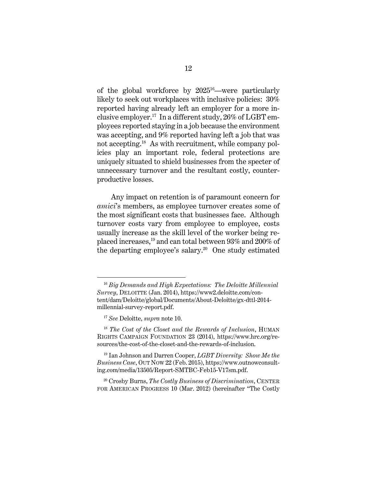of the global workforce by  $2025^{16}$ —were particularly likely to seek out workplaces with inclusive policies: 30% reported having already left an employer for a more inclusive employer.<sup>17</sup> In a different study,  $26\%$  of LGBT employees reported staying in a job because the environment was accepting, and 9% reported having left a job that was not accepting.<sup>18</sup> As with recruitment, while company policies play an important role, federal protections are uniquely situated to shield businesses from the specter of unnecessary turnover and the resultant costly, counterproductive losses.

Any impact on retention is of paramount concern for *amici*'s members, as employee turnover creates some of the most significant costs that businesses face. Although turnover costs vary from employee to employee, costs usually increase as the skill level of the worker being replaced increases,19 and can total between 93% and 200% of the departing employee's salary.<sup>20</sup> One study estimated

 <sup>16</sup> *Big Demands and High Expectations: The Deloitte Millennial Survey*, DELOITTE (Jan. 2014), https://www2.deloitte.com/content/dam/Deloitte/global/Documents/About-Deloitte/gx-dttl-2014 millennial-survey-report.pdf.

<sup>17</sup> *See* Deloitte, *supra* note 10.

<sup>18</sup> *The Cost of the Closet and the Rewards of Inclusion*, HUMAN RIGHTS CAMPAIGN FOUNDATION 23 (2014), https://www.hrc.org/resources/the-cost-of-the-closet-and-the-rewards-of-inclusion.

<sup>19</sup> Ian Johnson and Darren Cooper, *LGBT Diversity: Show Me the Business Case*, OUT NOW 22 (Feb. 2015), https://www.outnowconsulting.com/media/13505/Report-SMTBC-Feb15-V17sm.pdf.

<sup>20</sup> Crosby Burns, *The Costly Business of Discrimination*, CENTER FOR AMERICAN PROGRESS 10 (Mar. 2012) (hereinafter "The Costly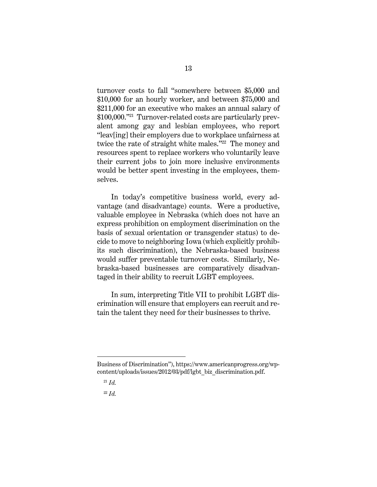turnover costs to fall "somewhere between \$5,000 and \$10,000 for an hourly worker, and between \$75,000 and \$211,000 for an executive who makes an annual salary of \$100,000."<sup>21</sup> Turnover-related costs are particularly prevalent among gay and lesbian employees, who report "leav[ing] their employers due to workplace unfairness at twice the rate of straight white males."<sup>22</sup> The money and resources spent to replace workers who voluntarily leave their current jobs to join more inclusive environments would be better spent investing in the employees, themselves.

In today's competitive business world, every advantage (and disadvantage) counts. Were a productive, valuable employee in Nebraska (which does not have an express prohibition on employment discrimination on the basis of sexual orientation or transgender status) to decide to move to neighboring Iowa (which explicitly prohibits such discrimination), the Nebraska-based business would suffer preventable turnover costs. Similarly, Nebraska-based businesses are comparatively disadvantaged in their ability to recruit LGBT employees.

In sum, interpreting Title VII to prohibit LGBT discrimination will ensure that employers can recruit and retain the talent they need for their businesses to thrive.

 $\overline{a}$ 

Business of Discrimination"), https://www.americanprogress.org/wpcontent/uploads/issues/2012/03/pdf/lgbt\_biz\_discrimination.pdf.

<sup>21</sup> *Id.*

<sup>22</sup> *Id.*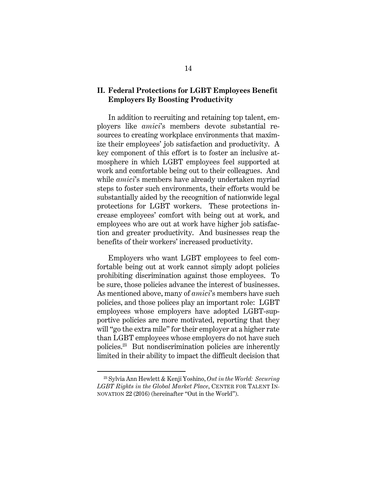### **II. Federal Protections for LGBT Employees Benefit Employers By Boosting Productivity**

In addition to recruiting and retaining top talent, employers like *amici*'s members devote substantial resources to creating workplace environments that maximize their employees' job satisfaction and productivity. A key component of this effort is to foster an inclusive atmosphere in which LGBT employees feel supported at work and comfortable being out to their colleagues. And while *amici*'s members have already undertaken myriad steps to foster such environments, their efforts would be substantially aided by the recognition of nationwide legal protections for LGBT workers. These protections increase employees' comfort with being out at work, and employees who are out at work have higher job satisfaction and greater productivity. And businesses reap the benefits of their workers' increased productivity.

Employers who want LGBT employees to feel comfortable being out at work cannot simply adopt policies prohibiting discrimination against those employees. To be sure, those policies advance the interest of businesses. As mentioned above, many of *amici*'s members have such policies, and those polices play an important role: LGBT employees whose employers have adopted LGBT-supportive policies are more motivated, reporting that they will "go the extra mile" for their employer at a higher rate than LGBT employees whose employers do not have such policies.23 But nondiscrimination policies are inherently limited in their ability to impact the difficult decision that

 <sup>23</sup> Sylvia Ann Hewlett & Kenji Yoshino, *Out in the World: Securing LGBT Rights in the Global Market Place*, CENTER FOR TALENT IN-NOVATION 22 (2016) (hereinafter "Out in the World").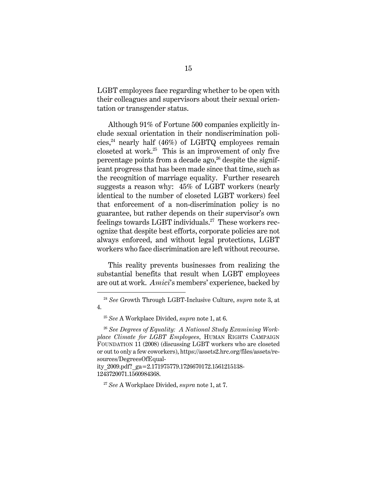LGBT employees face regarding whether to be open with their colleagues and supervisors about their sexual orientation or transgender status.

Although 91% of Fortune 500 companies explicitly include sexual orientation in their nondiscrimination policies, $^{24}$  nearly half (46%) of LGBTQ employees remain closeted at work. $25$  This is an improvement of only five percentage points from a decade  $ago^{26}$  despite the significant progress that has been made since that time, such as the recognition of marriage equality. Further research suggests a reason why: 45% of LGBT workers (nearly identical to the number of closeted LGBT workers) feel that enforcement of a non-discrimination policy is no guarantee, but rather depends on their supervisor's own feelings towards LGBT individuals.<sup>27</sup> These workers recognize that despite best efforts, corporate policies are not always enforced, and without legal protections, LGBT workers who face discrimination are left without recourse.

This reality prevents businesses from realizing the substantial benefits that result when LGBT employees are out at work. *Amici*'s members' experience, backed by

 <sup>24</sup> *See* Growth Through LGBT-Inclusive Culture, *supra* note 3, at 4.

<sup>25</sup> *See* A Workplace Divided, *supra* note 1, at 6.

<sup>26</sup> *See Degrees of Equality: A National Study Examining Workplace Climate for LGBT Employees*, HUMAN RIGHTS CAMPAIGN FOUNDATION 11 (2008) (discussing LGBT workers who are closeted or out to only a few coworkers), https://assets2.hrc.org/files/assets/resources/DegreesOfEqual-

ity\_2009.pdf?\_ga=2.171975779.1726670172.1561215138- 1243720071.1560984368.

<sup>27</sup> *See* A Workplace Divided, *supra* note 1, at 7.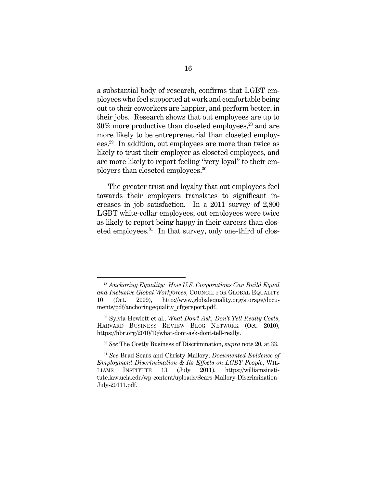a substantial body of research, confirms that LGBT employees who feel supported at work and comfortable being out to their coworkers are happier, and perform better, in their jobs. Research shows that out employees are up to  $30\%$  more productive than closeted employees,<sup>28</sup> and are more likely to be entrepreneurial than closeted employees.29 In addition, out employees are more than twice as likely to trust their employer as closeted employees, and are more likely to report feeling "very loyal" to their employers than closeted employees.30

The greater trust and loyalty that out employees feel towards their employers translates to significant increases in job satisfaction. In a 2011 survey of 2,800 LGBT white-collar employees, out employees were twice as likely to report being happy in their careers than closeted employees.<sup>31</sup> In that survey, only one-third of clos-

 <sup>28</sup> *Anchoring Equality: How U.S. Corporations Can Build Equal and Inclusive Global Workforces*, COUNCIL FOR GLOBAL EQUALITY 10 (Oct. 2009), http://www.globalequality.org/storage/documents/pdf/anchoringequality\_cfgereport.pdf.

<sup>29</sup> Sylvia Hewlett et al., *What Don't Ask, Don't Tell Really Costs*, HARVARD BUSINESS REVIEW BLOG NETWORK (Oct. 2010), https://hbr.org/2010/10/what-dont-ask-dont-tell-really.

<sup>30</sup> *See* The Costly Business of Discrimination, *supra* note 20, at 33.

<sup>31</sup> *See* Brad Sears and Christy Mallory, *Documented Evidence of Employment Discrimination & Its Effects on LGBT People*, WIL-LIAMS INSTITUTE 13 (July 2011), https://williamsinstitute.law.ucla.edu/wp-content/uploads/Sears-Mallory-Discrimination-July-20111.pdf.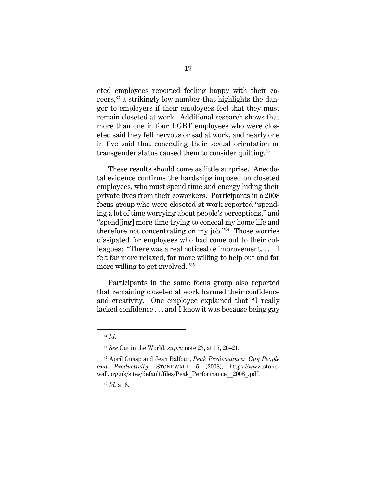eted employees reported feeling happy with their careers, $32$  a strikingly low number that highlights the danger to employers if their employees feel that they must remain closeted at work. Additional research shows that more than one in four LGBT employees who were closeted said they felt nervous or sad at work, and nearly one in five said that concealing their sexual orientation or transgender status caused them to consider quitting.<sup>33</sup>

These results should come as little surprise. Anecdotal evidence confirms the hardships imposed on closeted employees, who must spend time and energy hiding their private lives from their coworkers. Participants in a 2008 focus group who were closeted at work reported "spending a lot of time worrying about people's perceptions," and "spend[ing] more time trying to conceal my home life and therefore not concentrating on  $mv$  job." $34$  Those worries dissipated for employees who had come out to their colleagues: "There was a real noticeable improvement. . . . I felt far more relaxed, far more willing to help out and far more willing to get involved."35

Participants in the same focus group also reported that remaining closeted at work harmed their confidence and creativity. One employee explained that "I really lacked confidence . . . and I know it was because being gay

 <sup>32</sup> *Id*.

<sup>33</sup> *See* Out in the World, *supra* note 23, at 17, 20–21.

<sup>34</sup> April Guasp and Jean Balfour, *Peak Performance: Gay People and Productivity*, STONEWALL 5 (2008), https://www.stonewall.org.uk/sites/default/files/Peak\_Performance\_\_2008\_.pdf.

<sup>35</sup> *Id.* at 6.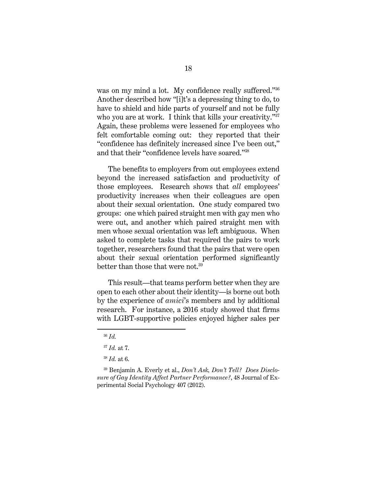was on my mind a lot. My confidence really suffered."36 Another described how "[i]t's a depressing thing to do, to have to shield and hide parts of yourself and not be fully who you are at work. I think that kills your creativity."<sup>37</sup> Again, these problems were lessened for employees who felt comfortable coming out: they reported that their "confidence has definitely increased since I've been out," and that their "confidence levels have soared."38

The benefits to employers from out employees extend beyond the increased satisfaction and productivity of those employees. Research shows that *all* employees' productivity increases when their colleagues are open about their sexual orientation. One study compared two groups: one which paired straight men with gay men who were out, and another which paired straight men with men whose sexual orientation was left ambiguous. When asked to complete tasks that required the pairs to work together, researchers found that the pairs that were open about their sexual orientation performed significantly better than those that were not.<sup>39</sup>

This result—that teams perform better when they are open to each other about their identity—is borne out both by the experience of *amici*'s members and by additional research. For instance, a 2016 study showed that firms with LGBT-supportive policies enjoyed higher sales per

 <sup>36</sup> *Id.*

<sup>37</sup> *Id.* at 7.

<sup>38</sup> *Id.* at 6.

<sup>39</sup> Benjamin A. Everly et al., *Don't Ask, Don't Tell? Does Disclosure of Gay Identity Affect Partner Performance?*, 48 Journal of Experimental Social Psychology 407 (2012).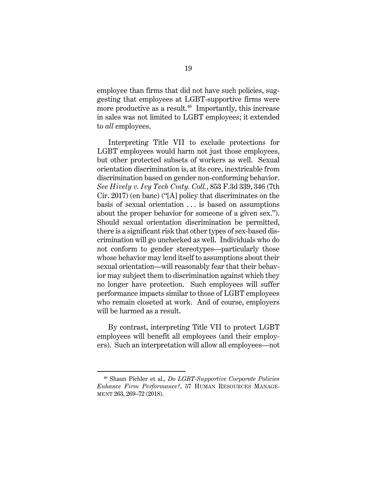employee than firms that did not have such policies, suggesting that employees at LGBT-supportive firms were more productive as a result.<sup>40</sup> Importantly, this increase in sales was not limited to LGBT employees; it extended to *all* employees.

Interpreting Title VII to exclude protections for LGBT employees would harm not just those employees, but other protected subsets of workers as well. Sexual orientation discrimination is, at its core, inextricable from discrimination based on gender non-conforming behavior. *See Hively v. Ivy Tech Cmty. Coll.*, 853 F.3d 339, 346 (7th Cir. 2017) (en banc) ("[A] policy that discriminates on the basis of sexual orientation . . . is based on assumptions about the proper behavior for someone of a given sex."). Should sexual orientation discrimination be permitted, there is a significant risk that other types of sex-based discrimination will go unchecked as well. Individuals who do not conform to gender stereotypes—particularly those whose behavior may lend itself to assumptions about their sexual orientation—will reasonably fear that their behavior may subject them to discrimination against which they no longer have protection. Such employees will suffer performance impacts similar to those of LGBT employees who remain closeted at work. And of course, employers will be harmed as a result.

By contrast, interpreting Title VII to protect LGBT employees will benefit all employees (and their employers). Such an interpretation will allow all employees—not

 <sup>40</sup> Shaun Pichler et al., *Do LGBT-Supportive Corporate Policies Enhance Firm Performance?*, 57 HUMAN RESOURCES MANAGE-MENT 263, 269–72 (2018).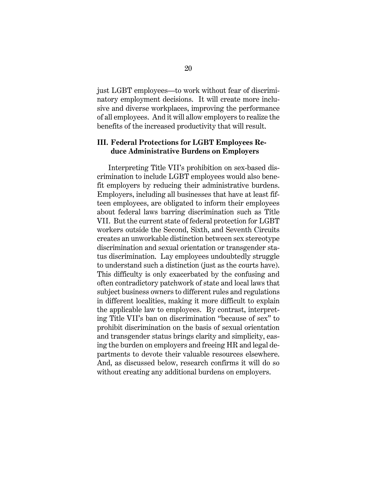just LGBT employees—to work without fear of discriminatory employment decisions. It will create more inclusive and diverse workplaces, improving the performance of all employees. And it will allow employers to realize the benefits of the increased productivity that will result.

## **III. Federal Protections for LGBT Employees Reduce Administrative Burdens on Employers**

Interpreting Title VII's prohibition on sex-based discrimination to include LGBT employees would also benefit employers by reducing their administrative burdens. Employers, including all businesses that have at least fifteen employees, are obligated to inform their employees about federal laws barring discrimination such as Title VII. But the current state of federal protection for LGBT workers outside the Second, Sixth, and Seventh Circuits creates an unworkable distinction between sex stereotype discrimination and sexual orientation or transgender status discrimination. Lay employees undoubtedly struggle to understand such a distinction (just as the courts have). This difficulty is only exacerbated by the confusing and often contradictory patchwork of state and local laws that subject business owners to different rules and regulations in different localities, making it more difficult to explain the applicable law to employees. By contrast, interpreting Title VII's ban on discrimination "because of sex" to prohibit discrimination on the basis of sexual orientation and transgender status brings clarity and simplicity, easing the burden on employers and freeing HR and legal departments to devote their valuable resources elsewhere. And, as discussed below, research confirms it will do so without creating any additional burdens on employers.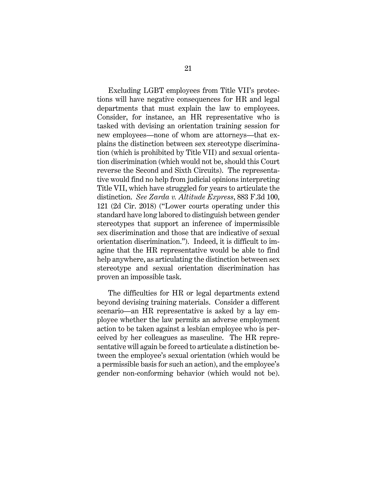Excluding LGBT employees from Title VII's protections will have negative consequences for HR and legal departments that must explain the law to employees. Consider, for instance, an HR representative who is tasked with devising an orientation training session for new employees—none of whom are attorneys—that explains the distinction between sex stereotype discrimination (which is prohibited by Title VII) and sexual orientation discrimination (which would not be, should this Court reverse the Second and Sixth Circuits). The representative would find no help from judicial opinions interpreting Title VII, which have struggled for years to articulate the distinction. *See Zarda v. Altitude Express*, 883 F.3d 100, 121 (2d Cir. 2018) ("Lower courts operating under this standard have long labored to distinguish between gender stereotypes that support an inference of impermissible sex discrimination and those that are indicative of sexual orientation discrimination."). Indeed, it is difficult to imagine that the HR representative would be able to find help anywhere, as articulating the distinction between sex stereotype and sexual orientation discrimination has proven an impossible task.

The difficulties for HR or legal departments extend beyond devising training materials. Consider a different scenario—an HR representative is asked by a lay employee whether the law permits an adverse employment action to be taken against a lesbian employee who is perceived by her colleagues as masculine. The HR representative will again be forced to articulate a distinction between the employee's sexual orientation (which would be a permissible basis for such an action), and the employee's gender non-conforming behavior (which would not be).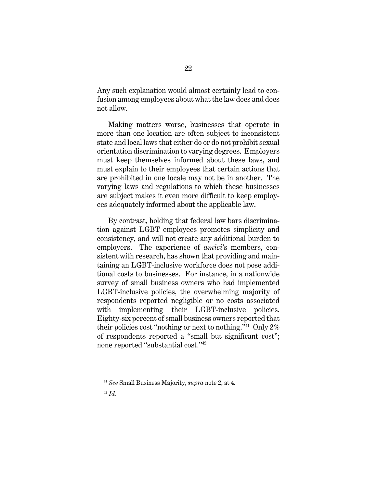Any such explanation would almost certainly lead to confusion among employees about what the law does and does not allow.

Making matters worse, businesses that operate in more than one location are often subject to inconsistent state and local laws that either do or do not prohibit sexual orientation discrimination to varying degrees. Employers must keep themselves informed about these laws, and must explain to their employees that certain actions that are prohibited in one locale may not be in another. The varying laws and regulations to which these businesses are subject makes it even more difficult to keep employees adequately informed about the applicable law.

By contrast, holding that federal law bars discrimination against LGBT employees promotes simplicity and consistency, and will not create any additional burden to employers. The experience of *amici*'s members, consistent with research, has shown that providing and maintaining an LGBT-inclusive workforce does not pose additional costs to businesses. For instance, in a nationwide survey of small business owners who had implemented LGBT-inclusive policies, the overwhelming majority of respondents reported negligible or no costs associated with implementing their LGBT-inclusive policies. Eighty-six percent of small business owners reported that their policies cost "nothing or next to nothing."<sup>41</sup> Only  $2\%$ of respondents reported a "small but significant cost"; none reported "substantial cost."42

 <sup>41</sup> *See* Small Business Majority, *supra* note 2, at 4.

<sup>42</sup> *Id.*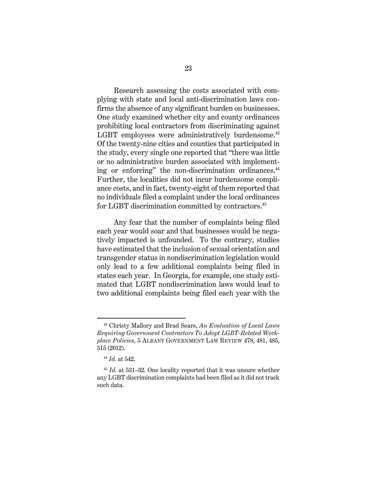Research assessing the costs associated with complying with state and local anti-discrimination laws confirms the absence of any significant burden on businesses. One study examined whether city and county ordinances prohibiting local contractors from discriminating against LGBT employees were administratively burdensome.<sup>43</sup> Of the twenty-nine cities and counties that participated in the study, every single one reported that "there was little or no administrative burden associated with implementing or enforcing" the non-discrimination ordinances.<sup>44</sup> Further, the localities did not incur burdensome compliance costs, and in fact, twenty-eight of them reported that no individuals filed a complaint under the local ordinances for LGBT discrimination committed by contractors.<sup>45</sup>

 Any fear that the number of complaints being filed each year would soar and that businesses would be negatively impacted is unfounded. To the contrary, studies have estimated that the inclusion of sexual orientation and transgender status in nondiscrimination legislation would only lead to a few additional complaints being filed in states each year.In Georgia, for example, one study estimated that LGBT nondiscrimination laws would lead to two additional complaints being filed each year with the

 <sup>43</sup> Christy Mallory and Brad Sears, *An Evaluation of Local Laws Requiring Government Contractors To Adopt LGBT-Related Workplace Policies*, 5 ALBANY GOVERNMENT LAW REVIEW 478, 481, 485, 515 (2012).

<sup>44</sup> *Id.* at 542.

<sup>45</sup> *Id.* at 531–32. One locality reported that it was unsure whether any LGBT discrimination complaints had been filed as it did not track such data.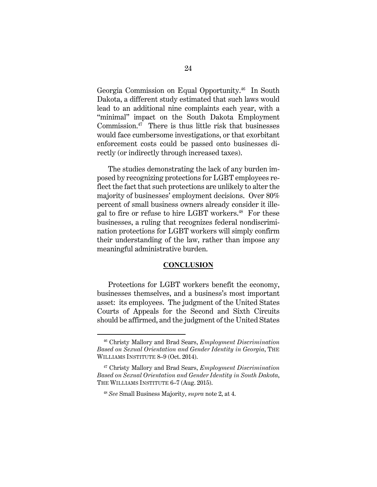Georgia Commission on Equal Opportunity.46 In South Dakota, a different study estimated that such laws would lead to an additional nine complaints each year, with a "minimal" impact on the South Dakota Employment Commission. $47$  There is thus little risk that businesses would face cumbersome investigations, or that exorbitant enforcement costs could be passed onto businesses directly (or indirectly through increased taxes).

The studies demonstrating the lack of any burden imposed by recognizing protections for LGBT employees reflect the fact that such protections are unlikely to alter the majority of businesses' employment decisions. Over 80% percent of small business owners already consider it illegal to fire or refuse to hire LGBT workers.<sup>48</sup> For these businesses, a ruling that recognizes federal nondiscrimination protections for LGBT workers will simply confirm their understanding of the law, rather than impose any meaningful administrative burden.

### **CONCLUSION**

Protections for LGBT workers benefit the economy, businesses themselves, and a business's most important asset: its employees. The judgment of the United States Courts of Appeals for the Second and Sixth Circuits should be affirmed, and the judgment of the United States

 <sup>46</sup> Christy Mallory and Brad Sears, *Employment Discrimination Based on Sexual Orientation and Gender Identity in Georgia*, THE WILLIAMS INSTITUTE 8–9 (Oct. 2014).

<sup>47</sup> Christy Mallory and Brad Sears, *Employment Discrimination Based on Sexual Orientation and Gender Identity in South Dakota*, THE WILLIAMS INSTITUTE 6–7 (Aug. 2015).

<sup>48</sup> *See* Small Business Majority, *supra* note 2, at 4.